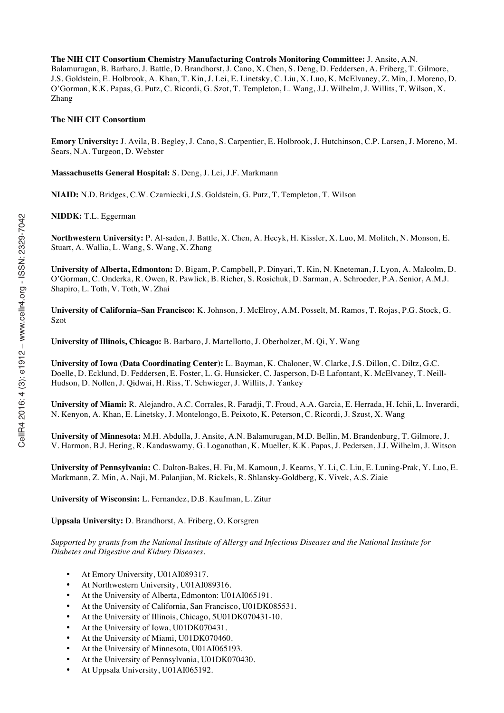**The NIH CIT Consortium Chemistry Manufacturing Controls Monitoring Committee:** J. Ansite, A.N. Balamurugan, B. Barbaro, J. Battle, D. Brandhorst, J. Cano, X. Chen, S. Deng, D. Feddersen, A. Friberg, T. Gilmore, J.S. Goldstein, E. Holbrook, A. Khan, T. Kin, J. Lei, E. Linetsky, C. Liu, X. Luo, K. McElvaney, Z. Min, J. Moreno, D. O'Gorman, K.K. Papas, G. Putz, C. Ricordi, G. Szot, T. Templeton, L. Wang, J.J. Wilhelm, J. Willits, T. Wilson, X. Zhang

#### **The NIH CIT Consortium**

**Emory University:** J. Avila, B. Begley, J. Cano, S. Carpentier, E. Holbrook, J. Hutchinson, C.P. Larsen, J. Moreno, M. Sears, N.A. Turgeon, D. Webster

**Massachusetts General Hospital:** S. Deng, J. Lei, J.F. Markmann

**NIAID:** N.D. Bridges, C.W. Czarniecki, J.S. Goldstein, G. Putz, T. Templeton, T. Wilson

**NIDDK:** T.L. Eggerman

**Northwestern University:** P. Al-saden, J. Battle, X. Chen, A. Hecyk, H. Kissler, X. Luo, M. Molitch, N. Monson, E. Stuart, A. Wallia, L. Wang, S. Wang, X. Zhang

**University of Alberta, Edmonton:** D. Bigam, P. Campbell, P. Dinyari, T. Kin, N. Kneteman, J. Lyon, A. Malcolm, D. O'Gorman, C. Onderka, R. Owen, R. Pawlick, B. Richer, S. Rosichuk, D. Sarman, A. Schroeder, P.A. Senior, A.M.J. Shapiro, L. Toth, V. Toth, W. Zhai

**University of California–San Francisco:** K. Johnson, J. McElroy, A.M. Posselt, M. Ramos, T. Rojas, P.G. Stock, G. Szot

**University of Illinois, Chicago:** B. Barbaro, J. Martellotto, J. Oberholzer, M. Qi, Y. Wang

**University of Iowa (Data Coordinating Center):** L. Bayman, K. Chaloner, W. Clarke, J.S. Dillon, C. Diltz, G.C. Doelle, D. Ecklund, D. Feddersen, E. Foster, L. G. Hunsicker, C. Jasperson, D-E Lafontant, K. McElvaney, T. Neill-Hudson, D. Nollen, J. Qidwai, H. Riss, T. Schwieger, J. Willits, J. Yankey

**University of Miami:** R. Alejandro, A.C. Corrales, R. Faradji, T. Froud, A.A. Garcia, E. Herrada, H. Ichii, L. Inverardi, N. Kenyon, A. Khan, E. Linetsky, J. Montelongo, E. Peixoto, K. Peterson, C. Ricordi, J. Szust, X. Wang

**University of Minnesota:** M.H. Abdulla, J. Ansite, A.N. Balamurugan, M.D. Bellin, M. Brandenburg, T. Gilmore, J. V. Harmon, B.J. Hering, R. Kandaswamy, G. Loganathan, K. Mueller, K.K. Papas, J. Pedersen, J.J. Wilhelm, J. Witson

**University of Pennsylvania:** C. Dalton-Bakes, H. Fu, M. Kamoun, J. Kearns, Y. Li, C. Liu, E. Luning-Prak, Y. Luo, E. Markmann, Z. Min, A. Naji, M. Palanjian, M. Rickels, R. Shlansky-Goldberg, K. Vivek, A.S. Ziaie

**University of Wisconsin:** L. Fernandez, D.B. Kaufman, L. Zitur

**Uppsala University:** D. Brandhorst, A. Friberg, O. Korsgren

*Supported by grants from the National Institute of Allergy and Infectious Diseases and the National Institute for Diabetes and Digestive and Kidney Diseases.*

- At Emory University, U01AI089317.
- At Northwestern University, U01AI089316.
- At the University of Alberta, Edmonton: U01AI065191.
- At the University of California, San Francisco, U01DK085531.
- At the University of Illinois, Chicago, 5U01DK070431-10.
- At the University of Iowa, U01DK070431.
- At the University of Miami, U01DK070460.
- At the University of Minnesota, U01AI065193.
- At the University of Pennsylvania, U01DK070430.
- At Uppsala University, U01AI065192.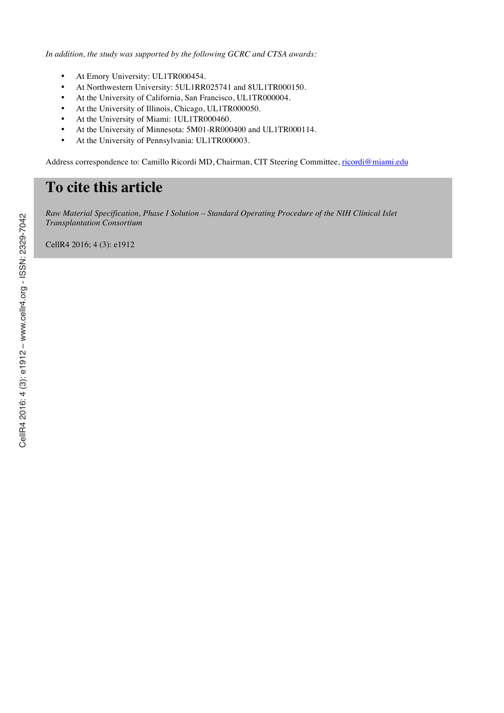*In addition, the study was supported by the following GCRC and CTSA awards:*

- At Emory University: UL1TR000454.
- At Northwestern University: 5UL1RR025741 and 8UL1TR000150.
- At the University of California, San Francisco, UL1TR000004.
- At the University of Illinois, Chicago, UL1TR000050.
- At the University of Miami: 1UL1TR000460.
- At the University of Minnesota: 5M01-RR000400 and UL1TR000114.
- At the University of Pennsylvania: UL1TR000003.

Address correspondence to: Camillo Ricordi MD, Chairman, CIT Steering Committee, ricordi@miami.edu

# **To cite this article**

*Raw Material Specification, Phase I Solution – Standard Operating Procedure of the NIH Clinical Islet Transplantation Consortium*

CellR4 2016; 4 (3): e1912